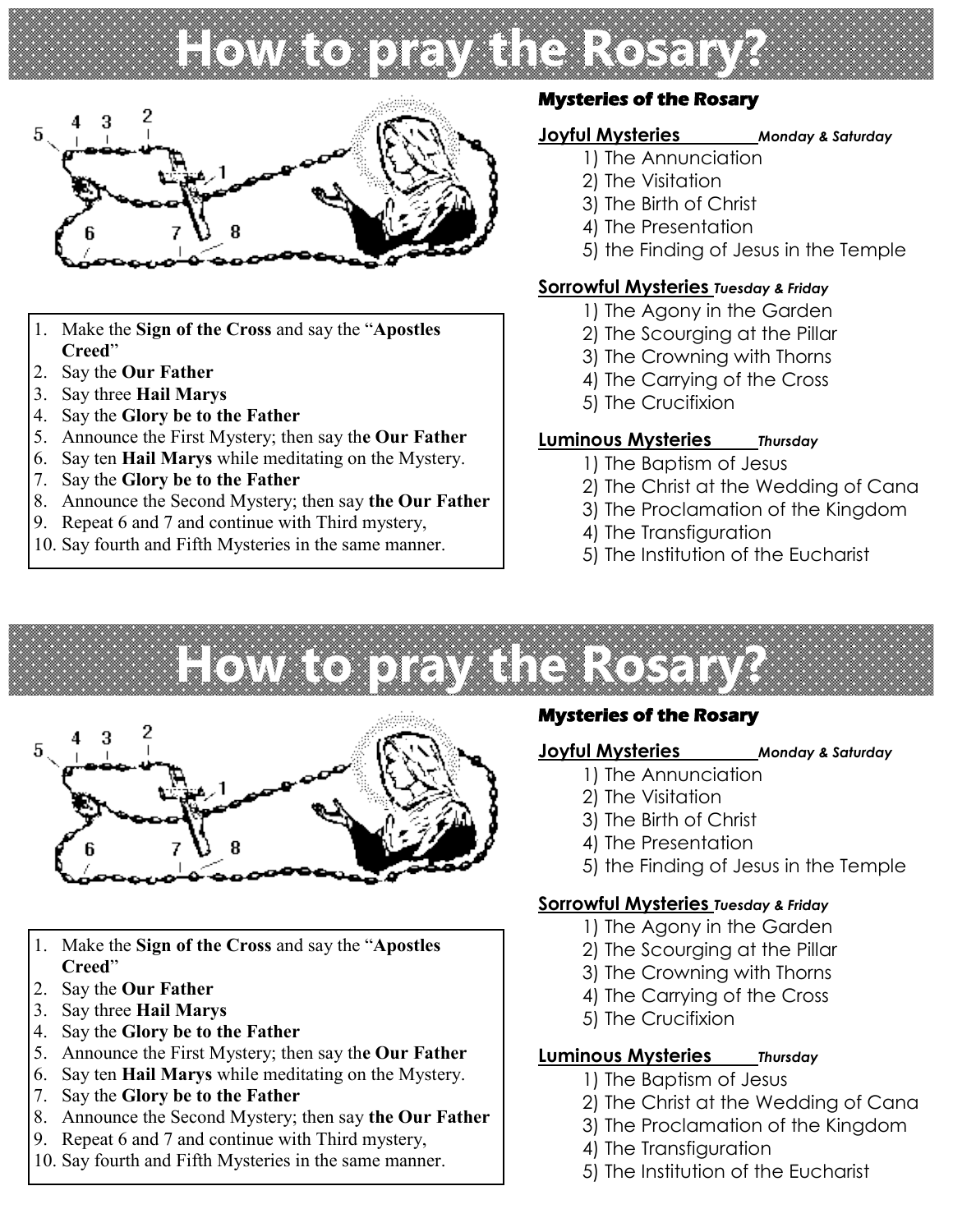# **How to pray the Rosary?**



- 1. Make the **Sign of the Cross** and say the "**Apostles Creed**"
- 2. Say the **Our Father**
- 3. Say three **Hail Marys**
- 4. Say the **Glory be to the Father**
- 5. Announce the First Mystery; then say th**e Our Father**
- 6. Say ten **Hail Marys** while meditating on the Mystery.
- 7. Say the **Glory be to the Father**
- 8. Announce the Second Mystery; then say **the Our Father**
- 9. Repeat 6 and 7 and continue with Third mystery,
- 10. Say fourth and Fifth Mysteries in the same manner.

# **Mysteries of the Rosary**

#### **Joyful Mysteries** *Monday & Saturday*

- 1) The Annunciation
- 2) The Visitation
- 3) The Birth of Christ
- 4) The Presentation
- 5) the Finding of Jesus in the Temple

## **Sorrowful Mysteries** *Tuesday & Friday*

- 1) The Agony in the Garden
- 2) The Scourging at the Pillar
- 3) The Crowning with Thorns
- 4) The Carrying of the Cross
- 5) The Crucifixion

## **Luminous Mysteries** *Thursday*

- 1) The Baptism of Jesus
- 2) The Christ at the Wedding of Cana
- 3) The Proclamation of the Kingdom
- 4) The Transfiguration
- 5) The Institution of the Eucharist

**How to pray the Rosary?**



- 1. Make the **Sign of the Cross** and say the "**Apostles Creed**"
- 2. Say the **Our Father**
- 3. Say three **Hail Marys**
- 4. Say the **Glory be to the Father**
- 5. Announce the First Mystery; then say th**e Our Father**
- 6. Say ten **Hail Marys** while meditating on the Mystery.
- 7. Say the **Glory be to the Father**
- 8. Announce the Second Mystery; then say **the Our Father**
- 9. Repeat 6 and 7 and continue with Third mystery,
- 10. Say fourth and Fifth Mysteries in the same manner.

# **Mysteries of the Rosary**

## **Joyful Mysteries** *Monday & Saturday*

- 1) The Annunciation
- 2) The Visitation
- 3) The Birth of Christ
- 4) The Presentation
- 5) the Finding of Jesus in the Temple

## **Sorrowful Mysteries** *Tuesday & Friday*

- 1) The Agony in the Garden
- 2) The Scourging at the Pillar
- 3) The Crowning with Thorns
- 4) The Carrying of the Cross
- 5) The Crucifixion

# **Luminous Mysteries** *Thursday*

- 1) The Baptism of Jesus
- 2) The Christ at the Wedding of Cana
- 3) The Proclamation of the Kingdom
- 4) The Transfiguration
- 5) The Institution of the Eucharist